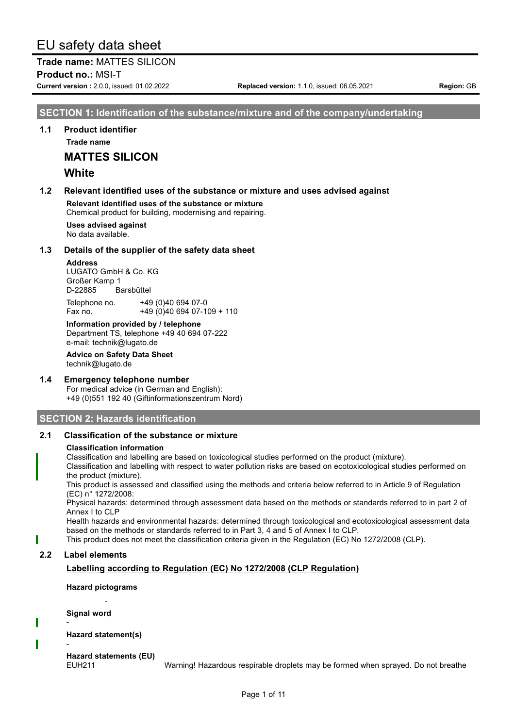**Trade name:** MATTES SILICON **Product no.: MSI-T** 

**Current version :** 2.0.0, issued: 01.02.2022 **Replaced version:** 1.1.0, issued: 06.05.2021 **Region:** GB

# **SECTION 1: Identification of the substance/mixture and of the company/undertaking**

**1.1 Product identifier**

**Trade name**

**MATTES SILICON**

# **White**

#### **1.2 Relevant identified uses of the substance or mixture and uses advised against**

**Relevant identified uses of the substance or mixture** Chemical product for building, modernising and repairing.

**Uses advised against** No data available.

#### **1.3 Details of the supplier of the safety data sheet**

**Address**

LUGATO GmbH & Co. KG Großer Kamp 1 D-22885 Barsbüttel

Telephone no. +49 (0)40 694 07-0 Fax no. +49 (0)40 694 07-109 + 110

**Information provided by / telephone** Department TS, telephone +49 40 694 07-222 e-mail: technik@lugato.de

**Advice on Safety Data Sheet** technik@lugato.de

#### **1.4 Emergency telephone number**

For medical advice (in German and English): +49 (0)551 192 40 (Giftinformationszentrum Nord)

# **SECTION 2: Hazards identification**

## **2.1 Classification of the substance or mixture**

#### **Classification information**

Classification and labelling are based on toxicological studies performed on the product (mixture).

Classification and labelling with respect to water pollution risks are based on ecotoxicological studies performed on the product (mixture).

This product is assessed and classified using the methods and criteria below referred to in Article 9 of Regulation (EC) n° 1272/2008:

Physical hazards: determined through assessment data based on the methods or standards referred to in part 2 of Annex I to CLP

Health hazards and environmental hazards: determined through toxicological and ecotoxicological assessment data based on the methods or standards referred to in Part 3, 4 and 5 of Annex I to CLP.

This product does not meet the classification criteria given in the Regulation (EC) No 1272/2008 (CLP).

## **2.2 Label elements**

# **Labelling according to Regulation (EC) No 1272/2008 (CLP Regulation)**

**Hazard pictograms** -

**Signal word**

-

**Hazard statement(s)** -

**Hazard statements (EU)**

EUH211 Warning! Hazardous respirable droplets may be formed when sprayed. Do not breathe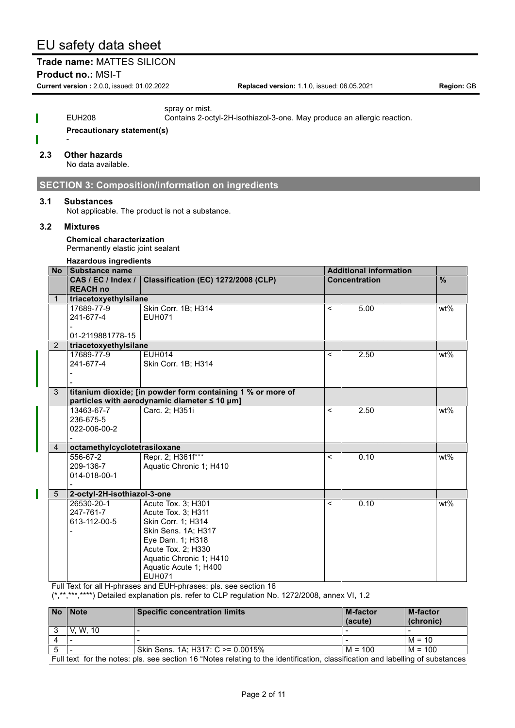# **Trade name:** MATTES SILICON

**Product no.: MSI-T** 

**Current version :** 2.0.0, issued: 01.02.2022 **Replaced version:** 1.1.0, issued: 06.05.2021 **Region:** GB

|     |   | spray or mist.<br><b>EUH208</b><br>Contains 2-octyl-2H-isothiazol-3-one. May produce an allergic reaction.<br><b>Precautionary statement(s)</b> |                                                             |                          |                               |               |
|-----|---|-------------------------------------------------------------------------------------------------------------------------------------------------|-------------------------------------------------------------|--------------------------|-------------------------------|---------------|
| 2.3 |   | <b>Other hazards</b><br>No data available.                                                                                                      |                                                             |                          |                               |               |
|     |   |                                                                                                                                                 | <b>SECTION 3: Composition/information on ingredients</b>    |                          |                               |               |
|     |   |                                                                                                                                                 |                                                             |                          |                               |               |
| 3.1 |   | <b>Substances</b>                                                                                                                               | Not applicable. The product is not a substance.             |                          |                               |               |
| 3.2 |   | <b>Mixtures</b>                                                                                                                                 |                                                             |                          |                               |               |
|     |   |                                                                                                                                                 |                                                             |                          |                               |               |
|     |   | <b>Chemical characterization</b><br>Permanently elastic joint sealant                                                                           |                                                             |                          |                               |               |
|     |   |                                                                                                                                                 |                                                             |                          |                               |               |
|     |   | <b>Hazardous ingredients</b><br>No Substance name                                                                                               |                                                             |                          | <b>Additional information</b> |               |
|     |   | CAS / EC / Index /                                                                                                                              | Classification (EC) 1272/2008 (CLP)                         |                          | <b>Concentration</b>          | $\frac{9}{6}$ |
|     |   | <b>REACH no</b>                                                                                                                                 |                                                             |                          |                               |               |
| 1   |   | triacetoxyethylsilane                                                                                                                           |                                                             |                          |                               |               |
|     |   | 17689-77-9                                                                                                                                      | Skin Corr. 1B; H314                                         | $\overline{\phantom{0}}$ | 5.00                          | wt%           |
|     |   | 241-677-4                                                                                                                                       | <b>EUH071</b>                                               |                          |                               |               |
|     |   |                                                                                                                                                 |                                                             |                          |                               |               |
|     | 2 | 01-2119881778-15<br>triacetoxyethylsilane                                                                                                       |                                                             |                          |                               |               |
|     |   | 17689-77-9                                                                                                                                      | <b>EUH014</b>                                               | $\overline{\phantom{a}}$ | 2.50                          | wt%           |
|     |   | 241-677-4                                                                                                                                       | Skin Corr. 1B; H314                                         |                          |                               |               |
|     |   |                                                                                                                                                 |                                                             |                          |                               |               |
|     |   |                                                                                                                                                 |                                                             |                          |                               |               |
| 3   |   |                                                                                                                                                 | titanium dioxide; [in powder form containing 1 % or more of |                          |                               |               |
|     |   |                                                                                                                                                 | particles with aerodynamic diameter ≤ 10 µm]                |                          |                               |               |
|     |   | 13463-67-7                                                                                                                                      | Carc. 2; H351i                                              | $\,<\,$                  | 2.50                          | wt%           |
|     |   | 236-675-5                                                                                                                                       |                                                             |                          |                               |               |
|     |   | 022-006-00-2                                                                                                                                    |                                                             |                          |                               |               |
| 4   |   | octamethylcyclotetrasiloxane                                                                                                                    |                                                             |                          |                               |               |
|     |   | 556-67-2                                                                                                                                        | Repr. 2; H361f***                                           | $\,<\,$                  | 0.10                          | wt%           |
|     |   | 209-136-7                                                                                                                                       | Aquatic Chronic 1; H410                                     |                          |                               |               |
|     |   | 014-018-00-1                                                                                                                                    |                                                             |                          |                               |               |
|     |   |                                                                                                                                                 |                                                             |                          |                               |               |
|     | 5 | 2-octyl-2H-isothiazol-3-one<br>26530-20-1                                                                                                       | Acute Tox. 3; H301                                          | $\,<\,$                  | 0.10                          | $wt\%$        |
|     |   | 247-761-7                                                                                                                                       | Acute Tox. 3; H311                                          |                          |                               |               |
|     |   | 613-112-00-5                                                                                                                                    | Skin Corr. 1; H314                                          |                          |                               |               |
|     |   |                                                                                                                                                 | Skin Sens. 1A; H317                                         |                          |                               |               |
|     |   |                                                                                                                                                 | Eye Dam. 1; H318                                            |                          |                               |               |
|     |   |                                                                                                                                                 | Acute Tox. 2; H330                                          |                          |                               |               |
|     |   |                                                                                                                                                 | Aquatic Chronic 1; H410                                     |                          |                               |               |
|     |   |                                                                                                                                                 | Aquatic Acute 1; H400                                       |                          |                               |               |
|     |   |                                                                                                                                                 | <b>EUH071</b>                                               |                          |                               |               |

| No Note                                                                                                                        | <b>Specific concentration limits</b> | <b>M-factor</b><br>(acute) | <b>M-factor</b><br>(chronic) |  |  |
|--------------------------------------------------------------------------------------------------------------------------------|--------------------------------------|----------------------------|------------------------------|--|--|
| V. W. 10                                                                                                                       |                                      |                            |                              |  |  |
|                                                                                                                                |                                      |                            | $M = 10$                     |  |  |
|                                                                                                                                | Skin Sens. 1A: H317: C >= 0.0015%    | $M = 100$                  | $M = 100$                    |  |  |
| Full text for the notes: pls. see section 16 "Notes relating to the identification, classification and labelling of substances |                                      |                            |                              |  |  |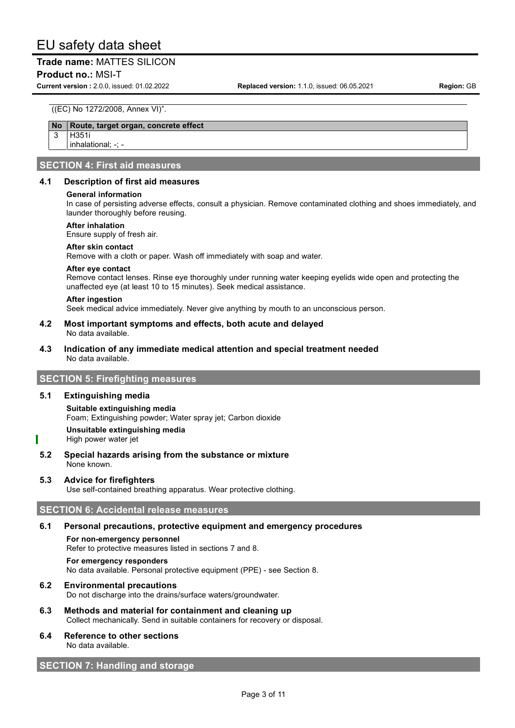## **Trade name:** MATTES SILICON

#### **Product no.: MSI-T**

**Current version :** 2.0.0, issued: 01.02.2022 **Replaced version:** 1.1.0, issued: 06.05.2021 **Region:** GB

#### ((EC) No 1272/2008, Annex VI)".

#### **No Route, target organ, concrete effect**

3 H351i inhalational; -;

# **SECTION 4: First aid measures**

#### **4.1 Description of first aid measures**

#### **General information**

In case of persisting adverse effects, consult a physician. Remove contaminated clothing and shoes immediately, and launder thoroughly before reusing.

#### **After inhalation**

Ensure supply of fresh air.

#### **After skin contact**

Remove with a cloth or paper. Wash off immediately with soap and water.

#### **After eye contact**

Remove contact lenses. Rinse eye thoroughly under running water keeping eyelids wide open and protecting the unaffected eye (at least 10 to 15 minutes). Seek medical assistance.

#### **After ingestion**

Seek medical advice immediately. Never give anything by mouth to an unconscious person.

#### **4.2 Most important symptoms and effects, both acute and delayed** No data available.

**4.3 Indication of any immediate medical attention and special treatment needed** No data available.

# **SECTION 5: Firefighting measures**

#### **5.1 Extinguishing media**

**Suitable extinguishing media** Foam; Extinguishing powder; Water spray jet; Carbon dioxide

# **Unsuitable extinguishing media**

- High power water jet
- **5.2 Special hazards arising from the substance or mixture** None known.

#### **5.3 Advice for firefighters**

Use self-contained breathing apparatus. Wear protective clothing.

# **SECTION 6: Accidental release measures**

#### **6.1 Personal precautions, protective equipment and emergency procedures**

**For non-emergency personnel** Refer to protective measures listed in sections 7 and 8.

# **For emergency responders**

No data available. Personal protective equipment (PPE) - see Section 8.

#### **6.2 Environmental precautions**

Do not discharge into the drains/surface waters/groundwater.

**6.3 Methods and material for containment and cleaning up** Collect mechanically. Send in suitable containers for recovery or disposal.

#### **6.4 Reference to other sections** No data available.

# **SECTION 7: Handling and storage**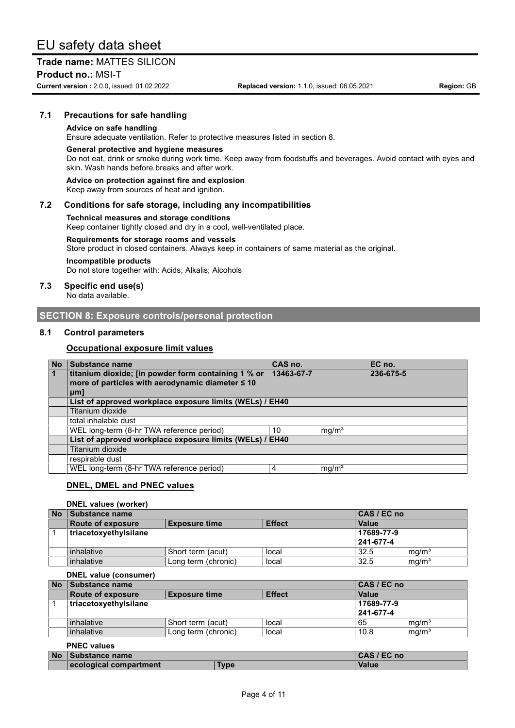# **Trade name:** MATTES SILICON

**Product no.: MSI-T** 

**Current version :** 2.0.0, issued: 01.02.2022 **Replaced version:** 1.1.0, issued: 06.05.2021 **Region:** GB

## **7.1 Precautions for safe handling**

#### **Advice on safe handling**

Ensure adequate ventilation. Refer to protective measures listed in section 8.

#### **General protective and hygiene measures**

Do not eat, drink or smoke during work time. Keep away from foodstuffs and beverages. Avoid contact with eyes and skin. Wash hands before breaks and after work.

**Advice on protection against fire and explosion**

Keep away from sources of heat and ignition.

## **7.2 Conditions for safe storage, including any incompatibilities**

#### **Technical measures and storage conditions**

Keep container tightly closed and dry in a cool, well-ventilated place.

#### **Requirements for storage rooms and vessels**

Store product in closed containers. Always keep in containers of same material as the original.

#### **Incompatible products**

Do not store together with: Acids; Alkalis; Alcohols

#### **7.3 Specific end use(s)**

No data available.

# **SECTION 8: Exposure controls/personal protection**

#### **8.1 Control parameters**

#### **Occupational exposure limit values**

| <b>No</b> | Substance name                                           | CAS no.    |                   | EC no.    |
|-----------|----------------------------------------------------------|------------|-------------------|-----------|
|           | titanium dioxide; [in powder form containing 1 % or      | 13463-67-7 |                   | 236-675-5 |
|           | more of particles with aerodynamic diameter $\leq 10$    |            |                   |           |
|           | $µm$ ]                                                   |            |                   |           |
|           | List of approved workplace exposure limits (WELs) / EH40 |            |                   |           |
|           | Titanium dioxide                                         |            |                   |           |
|           | total inhalable dust                                     |            |                   |           |
|           | WEL long-term (8-hr TWA reference period)                | 10         | mg/m <sup>3</sup> |           |
|           | List of approved workplace exposure limits (WELs) / EH40 |            |                   |           |
|           | Titanium dioxide                                         |            |                   |           |
|           | respirable dust                                          |            |                   |           |
|           | WEL long-term (8-hr TWA reference period)                | 4          | mg/m <sup>3</sup> |           |

#### **DNEL, DMEL and PNEC values**

#### **DNEL values (worker)**

| <b>No</b> | Substance name           |                      |               |              | CAS / EC no       |  |
|-----------|--------------------------|----------------------|---------------|--------------|-------------------|--|
|           | <b>Route of exposure</b> | <b>Exposure time</b> | <b>Effect</b> | <b>Value</b> |                   |  |
|           | triacetoxyethylsilane    |                      |               | 17689-77-9   |                   |  |
|           |                          |                      |               | 241-677-4    |                   |  |
|           | inhalative               | Short term (acut)    | local         | 32.5         | mq/m <sup>3</sup> |  |
|           | inhalative               | Long term (chronic)  | local         | 32.5         | mg/m <sup>3</sup> |  |

#### **DNEL value (consumer)**

| <b>No</b> | l Substance name         | CAS / EC no          |               |            |                   |
|-----------|--------------------------|----------------------|---------------|------------|-------------------|
|           | <b>Route of exposure</b> | <b>Exposure time</b> | <b>Effect</b> | Value      |                   |
|           | triacetoxyethylsilane    |                      |               | 17689-77-9 |                   |
|           |                          |                      |               | 241-677-4  |                   |
|           | inhalative               | Short term (acut)    | local         | 65         | mg/m <sup>3</sup> |
|           | inhalative               | Long term (chronic)  | local         | 10.8       | mg/m <sup>3</sup> |

## **PNEC values**

| <b>No</b> | Substance name         |      | CAS / EC no |
|-----------|------------------------|------|-------------|
|           | ecological compartment | Гурє | Value       |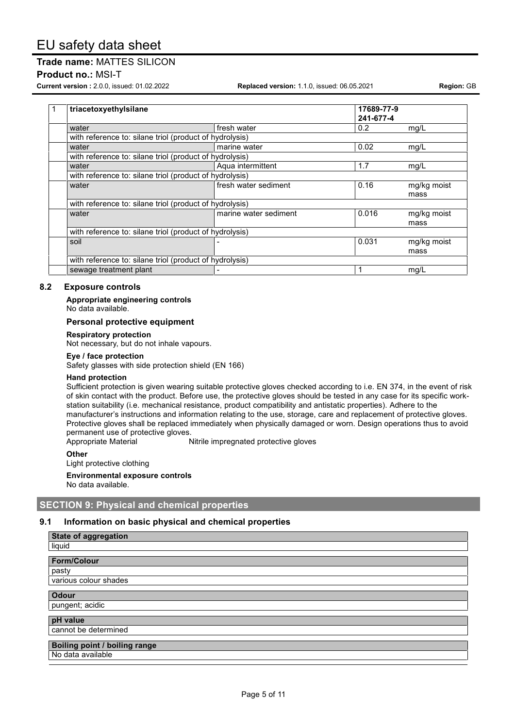#### **Product no.: MSI-T**

**Current version :** 2.0.0, issued: 01.02.2022 **Replaced version:** 1.1.0, issued: 06.05.2021 **Region:** GB

| $\mathbf 1$                                             | triacetoxyethylsilane                                   |                       | 17689-77-9 |             |
|---------------------------------------------------------|---------------------------------------------------------|-----------------------|------------|-------------|
|                                                         |                                                         |                       | 241-677-4  |             |
|                                                         | water                                                   | fresh water           | 0.2        | mq/L        |
|                                                         | with reference to: silane triol (product of hydrolysis) |                       |            |             |
|                                                         | water                                                   | marine water          | 0.02       | mq/L        |
|                                                         | with reference to: silane triol (product of hydrolysis) |                       |            |             |
|                                                         | water                                                   | Aqua intermittent     | 1.7        | mq/L        |
|                                                         | with reference to: silane triol (product of hydrolysis) |                       |            |             |
|                                                         | water                                                   | fresh water sediment  | 0.16       | mg/kg moist |
|                                                         |                                                         |                       |            | mass        |
|                                                         | with reference to: silane triol (product of hydrolysis) |                       |            |             |
|                                                         | water                                                   | marine water sediment | 0.016      | mg/kg moist |
|                                                         |                                                         |                       |            | mass        |
| with reference to: silane triol (product of hydrolysis) |                                                         |                       |            |             |
|                                                         | soil                                                    |                       | 0.031      | mg/kg moist |
|                                                         |                                                         |                       |            | mass        |
|                                                         | with reference to: silane triol (product of hydrolysis) |                       |            |             |
|                                                         | sewage treatment plant                                  |                       |            | mg/L        |

## **8.2 Exposure controls**

**Appropriate engineering controls**

No data available.

#### **Personal protective equipment**

**Respiratory protection**

Not necessary, but do not inhale vapours.

#### **Eye / face protection**

Safety glasses with side protection shield (EN 166)

#### **Hand protection**

Sufficient protection is given wearing suitable protective gloves checked according to i.e. EN 374, in the event of risk of skin contact with the product. Before use, the protective gloves should be tested in any case for its specific workstation suitability (i.e. mechanical resistance, product compatibility and antistatic properties). Adhere to the manufacturer's instructions and information relating to the use, storage, care and replacement of protective gloves. Protective gloves shall be replaced immediately when physically damaged or worn. Design operations thus to avoid permanent use of protective gloves.

Appropriate Material Nitrile impregnated protective gloves

**Other**

Light protective clothing

**Environmental exposure controls** No data available.

# **SECTION 9: Physical and chemical properties**

#### **9.1 Information on basic physical and chemical properties**

| <b>State of aggregation</b>   |
|-------------------------------|
| liquid                        |
|                               |
| <b>Form/Colour</b>            |
| pasty                         |
| various colour shades         |
| <b>Odour</b>                  |
|                               |
| pungent; acidic               |
| pH value                      |
| cannot be determined          |
|                               |
| Boiling point / boiling range |
| No data available             |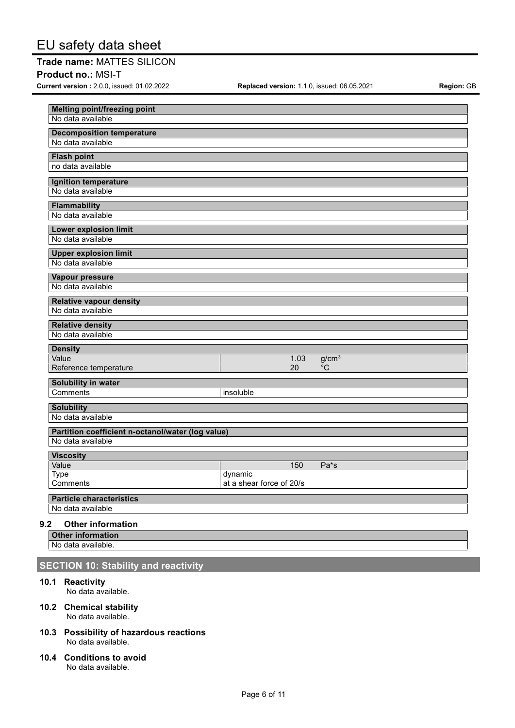**Product no.: MSI-T** 

**Current version :** 2.0.0, issued: 01.02.2022 **Replaced version:** 1.1.0, issued: 06.05.2021 **Region:** GB

| <b>Melting point/freezing point</b><br>No data available |                                     |  |                         |  |  |  |  |
|----------------------------------------------------------|-------------------------------------|--|-------------------------|--|--|--|--|
|                                                          |                                     |  |                         |  |  |  |  |
| <b>Decomposition temperature</b><br>No data available    |                                     |  |                         |  |  |  |  |
|                                                          |                                     |  |                         |  |  |  |  |
| <b>Flash point</b><br>no data available                  |                                     |  |                         |  |  |  |  |
|                                                          |                                     |  |                         |  |  |  |  |
| Ignition temperature<br>No data available                |                                     |  |                         |  |  |  |  |
|                                                          |                                     |  |                         |  |  |  |  |
| Flammability<br>No data available                        |                                     |  |                         |  |  |  |  |
|                                                          |                                     |  |                         |  |  |  |  |
| <b>Lower explosion limit</b><br>No data available        |                                     |  |                         |  |  |  |  |
|                                                          |                                     |  |                         |  |  |  |  |
| <b>Upper explosion limit</b><br>No data available        |                                     |  |                         |  |  |  |  |
|                                                          |                                     |  |                         |  |  |  |  |
| Vapour pressure<br>No data available                     |                                     |  |                         |  |  |  |  |
|                                                          |                                     |  |                         |  |  |  |  |
| <b>Relative vapour density</b>                           |                                     |  |                         |  |  |  |  |
| No data available                                        |                                     |  |                         |  |  |  |  |
| <b>Relative density</b>                                  |                                     |  |                         |  |  |  |  |
| No data available                                        |                                     |  |                         |  |  |  |  |
| <b>Density</b>                                           |                                     |  |                         |  |  |  |  |
| Value<br>Reference temperature                           | 1.03<br>20                          |  | g/cm <sup>3</sup><br>°C |  |  |  |  |
|                                                          |                                     |  |                         |  |  |  |  |
| Solubility in water<br>Comments                          |                                     |  |                         |  |  |  |  |
|                                                          | insoluble                           |  |                         |  |  |  |  |
| <b>Solubility</b>                                        |                                     |  |                         |  |  |  |  |
| No data available                                        |                                     |  |                         |  |  |  |  |
| Partition coefficient n-octanol/water (log value)        |                                     |  |                         |  |  |  |  |
| No data available                                        |                                     |  |                         |  |  |  |  |
| <b>Viscosity</b>                                         |                                     |  |                         |  |  |  |  |
| Value                                                    | 150                                 |  | Pa <sup>*</sup> s       |  |  |  |  |
| Type<br>Comments                                         | dynamic<br>at a shear force of 20/s |  |                         |  |  |  |  |
|                                                          |                                     |  |                         |  |  |  |  |
| <b>Particle characteristics</b><br>No data available     |                                     |  |                         |  |  |  |  |
|                                                          |                                     |  |                         |  |  |  |  |
| 9.2<br><b>Other information</b>                          |                                     |  |                         |  |  |  |  |
| <b>Other information</b><br>No data available            |                                     |  |                         |  |  |  |  |

No data available.

# **SECTION 10: Stability and reactivity**

#### **10.1 Reactivity**

No data available.

- **10.2 Chemical stability** No data available.
- **10.3 Possibility of hazardous reactions** No data available.
- **10.4 Conditions to avoid** No data available.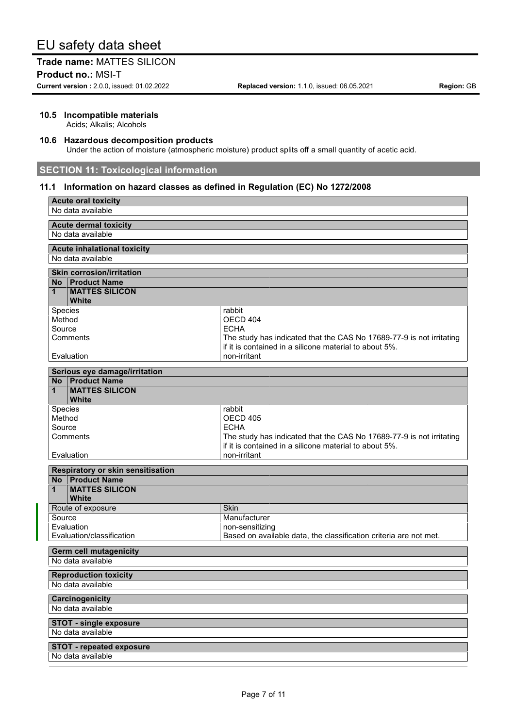**Product no.: MSI-T** 

**Current version :** 2.0.0, issued: 01.02.2022 **Replaced version:** 1.1.0, issued: 06.05.2021 **Region:** GB

#### **10.5 Incompatible materials**

Acids; Alkalis; Alcohols

#### **10.6 Hazardous decomposition products**

Under the action of moisture (atmospheric moisture) product splits off a small quantity of acetic acid.

# **SECTION 11: Toxicological information**

## **11.1 Information on hazard classes as defined in Regulation (EC) No 1272/2008**

| <b>Acute oral toxicity</b><br>No data available                     |                                                                      |  |  |  |  |  |  |
|---------------------------------------------------------------------|----------------------------------------------------------------------|--|--|--|--|--|--|
|                                                                     |                                                                      |  |  |  |  |  |  |
| <b>Acute dermal toxicity</b><br>No data available                   |                                                                      |  |  |  |  |  |  |
|                                                                     |                                                                      |  |  |  |  |  |  |
| <b>Acute inhalational toxicity</b><br>No data available             |                                                                      |  |  |  |  |  |  |
|                                                                     |                                                                      |  |  |  |  |  |  |
| <b>Skin corrosion/irritation</b>                                    |                                                                      |  |  |  |  |  |  |
| <b>Product Name</b><br>No l<br><b>MATTES SILICON</b><br>$\mathbf 1$ |                                                                      |  |  |  |  |  |  |
| White                                                               |                                                                      |  |  |  |  |  |  |
| Species                                                             | rabbit                                                               |  |  |  |  |  |  |
| Method                                                              | OECD 404                                                             |  |  |  |  |  |  |
| Source                                                              | <b>ECHA</b>                                                          |  |  |  |  |  |  |
| Comments                                                            | The study has indicated that the CAS No 17689-77-9 is not irritating |  |  |  |  |  |  |
|                                                                     | if it is contained in a silicone material to about 5%.               |  |  |  |  |  |  |
| Evaluation                                                          | non-irritant                                                         |  |  |  |  |  |  |
| Serious eye damage/irritation                                       |                                                                      |  |  |  |  |  |  |
| <b>Product Name</b><br>No l                                         |                                                                      |  |  |  |  |  |  |
| <b>MATTES SILICON</b><br>1                                          |                                                                      |  |  |  |  |  |  |
| White<br>Species                                                    | rabbit                                                               |  |  |  |  |  |  |
| Method                                                              | OECD 405                                                             |  |  |  |  |  |  |
| Source                                                              | <b>ECHA</b>                                                          |  |  |  |  |  |  |
| Comments                                                            | The study has indicated that the CAS No 17689-77-9 is not irritating |  |  |  |  |  |  |
|                                                                     | if it is contained in a silicone material to about 5%.               |  |  |  |  |  |  |
| Evaluation                                                          | non-irritant                                                         |  |  |  |  |  |  |
| Respiratory or skin sensitisation                                   |                                                                      |  |  |  |  |  |  |
| No Product Name                                                     |                                                                      |  |  |  |  |  |  |
| <b>MATTES SILICON</b><br>1                                          |                                                                      |  |  |  |  |  |  |
| <b>White</b>                                                        |                                                                      |  |  |  |  |  |  |
| Route of exposure                                                   | Skin                                                                 |  |  |  |  |  |  |
| Source                                                              | Manufacturer                                                         |  |  |  |  |  |  |
| Evaluation                                                          | non-sensitizing                                                      |  |  |  |  |  |  |
| Evaluation/classification                                           | Based on available data, the classification criteria are not met.    |  |  |  |  |  |  |
| <b>Germ cell mutagenicity</b>                                       |                                                                      |  |  |  |  |  |  |
| No data available                                                   |                                                                      |  |  |  |  |  |  |
| <b>Reproduction toxicity</b>                                        |                                                                      |  |  |  |  |  |  |
| No data available                                                   |                                                                      |  |  |  |  |  |  |
| Carcinogenicity                                                     |                                                                      |  |  |  |  |  |  |
| No data available                                                   |                                                                      |  |  |  |  |  |  |
| <b>STOT - single exposure</b>                                       |                                                                      |  |  |  |  |  |  |
| No data available                                                   |                                                                      |  |  |  |  |  |  |
|                                                                     |                                                                      |  |  |  |  |  |  |
| <b>STOT - repeated exposure</b><br>No data available                |                                                                      |  |  |  |  |  |  |
|                                                                     |                                                                      |  |  |  |  |  |  |
|                                                                     |                                                                      |  |  |  |  |  |  |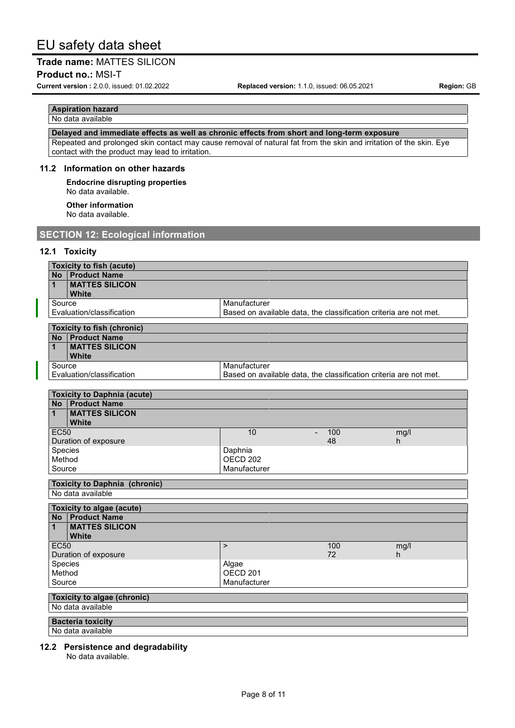**Product no.: MSI-T** 

**Current version :** 2.0.0, issued: 01.02.2022 **Replaced version:** 1.1.0, issued: 06.05.2021 **Region:** GB

#### **Aspiration hazard** No data available

**Delayed and immediate effects as well as chronic effects from short and long-term exposure**

Repeated and prolonged skin contact may cause removal of natural fat from the skin and irritation of the skin. Eye contact with the product may lead to irritation.

#### **11.2 Information on other hazards**

**Endocrine disrupting properties** No data available.

**Other information** No data available.

# **SECTION 12: Ecological information**

# **12.1 Toxicity**

| <b>Toxicity to fish (acute)</b>                       |                                                                   |     |            |  |  |  |
|-------------------------------------------------------|-------------------------------------------------------------------|-----|------------|--|--|--|
| <b>Product Name</b><br><b>No</b>                      |                                                                   |     |            |  |  |  |
| <b>MATTES SILICON</b><br>1                            |                                                                   |     |            |  |  |  |
| <b>White</b>                                          |                                                                   |     |            |  |  |  |
| Source                                                | Manufacturer                                                      |     |            |  |  |  |
| Evaluation/classification                             | Based on available data, the classification criteria are not met. |     |            |  |  |  |
| <b>Toxicity to fish (chronic)</b>                     |                                                                   |     |            |  |  |  |
|                                                       | <b>No</b> Product Name                                            |     |            |  |  |  |
| <b>MATTES SILICON</b><br>$\mathbf{1}$<br><b>White</b> |                                                                   |     |            |  |  |  |
| Source                                                | Manufacturer                                                      |     |            |  |  |  |
| Evaluation/classification                             | Based on available data, the classification criteria are not met. |     |            |  |  |  |
|                                                       |                                                                   |     |            |  |  |  |
| <b>Toxicity to Daphnia (acute)</b>                    |                                                                   |     |            |  |  |  |
| <b>Product Name</b><br><b>No</b>                      |                                                                   |     |            |  |  |  |
| <b>MATTES SILICON</b><br>$\mathbf{1}$<br><b>White</b> |                                                                   |     |            |  |  |  |
| <b>EC50</b>                                           | 10<br>$\blacksquare$                                              | 100 | mg/l       |  |  |  |
| Duration of exposure                                  |                                                                   | 48  | h          |  |  |  |
| Species                                               | Daphnia                                                           |     |            |  |  |  |
| Method                                                | <b>OECD 202</b>                                                   |     |            |  |  |  |
| Source                                                | Manufacturer                                                      |     |            |  |  |  |
| <b>Toxicity to Daphnia (chronic)</b>                  |                                                                   |     |            |  |  |  |
| No data available                                     |                                                                   |     |            |  |  |  |
|                                                       |                                                                   |     |            |  |  |  |
| <b>Toxicity to algae (acute)</b>                      |                                                                   |     |            |  |  |  |
| <b>No</b> Product Name                                |                                                                   |     |            |  |  |  |
| <b>MATTES SILICON</b><br>1                            |                                                                   |     |            |  |  |  |
| <b>White</b><br><b>EC50</b>                           | $\mathbf{L}$                                                      | 100 |            |  |  |  |
| Duration of exposure                                  |                                                                   | 72  | mg/l<br>h. |  |  |  |
| Species                                               | Algae                                                             |     |            |  |  |  |
| Method                                                | OECD <sub>201</sub>                                               |     |            |  |  |  |
| Source                                                | Manufacturer                                                      |     |            |  |  |  |
|                                                       |                                                                   |     |            |  |  |  |
| <b>Toxicity to algae (chronic)</b>                    |                                                                   |     |            |  |  |  |
| No data available                                     |                                                                   |     |            |  |  |  |
| <b>Bacteria toxicity</b>                              |                                                                   |     |            |  |  |  |
| No data available                                     |                                                                   |     |            |  |  |  |

# **12.2 Persistence and degradability**

No data available.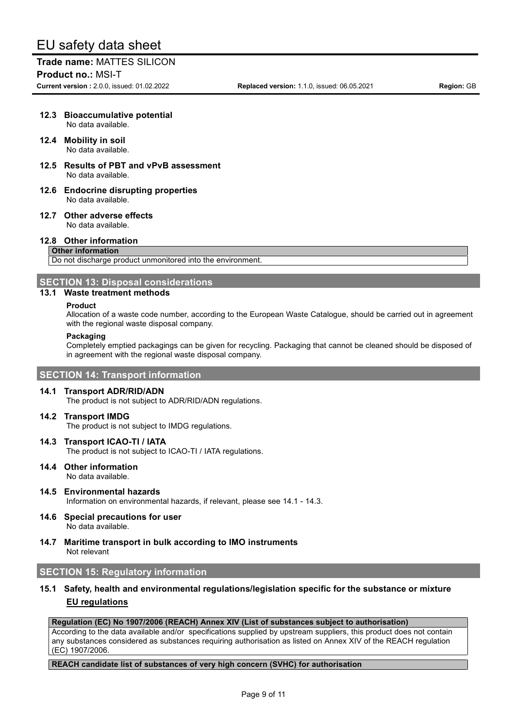**Trade name:** MATTES SILICON **Product no.: MSI-T** 

**Current version :** 2.0.0, issued: 01.02.2022 **Replaced version:** 1.1.0, issued: 06.05.2021 **Region:** GB

## **12.3 Bioaccumulative potential** No data available.

## **12.4 Mobility in soil** No data available.

- **12.5 Results of PBT and vPvB assessment** No data available.
- **12.6 Endocrine disrupting properties** No data available.
- **12.7 Other adverse effects** No data available.

## **12.8 Other information**

#### **Other information**

Do not discharge product unmonitored into the environment.

#### **SECTION 13: Disposal considerations**

#### **13.1 Waste treatment methods**

#### **Product**

Allocation of a waste code number, according to the European Waste Catalogue, should be carried out in agreement with the regional waste disposal company.

#### **Packaging**

Completely emptied packagings can be given for recycling. Packaging that cannot be cleaned should be disposed of in agreement with the regional waste disposal company.

#### **SECTION 14: Transport information**

#### **14.1 Transport ADR/RID/ADN**

The product is not subject to ADR/RID/ADN regulations.

#### **14.2 Transport IMDG**

The product is not subject to IMDG regulations.

**14.3 Transport ICAO-TI / IATA**

The product is not subject to ICAO-TI / IATA regulations.

- **14.4 Other information** No data available.
- **14.5 Environmental hazards** Information on environmental hazards, if relevant, please see 14.1 - 14.3.
- **14.6 Special precautions for user** No data available.
- **14.7 Maritime transport in bulk according to IMO instruments** Not relevant

# **SECTION 15: Regulatory information**

# **15.1 Safety, health and environmental regulations/legislation specific for the substance or mixture EU regulations**

## **Regulation (EC) No 1907/2006 (REACH) Annex XIV (List of substances subject to authorisation)**

According to the data available and/or specifications supplied by upstream suppliers, this product does not contain any substances considered as substances requiring authorisation as listed on Annex XIV of the REACH regulation (EC) 1907/2006.

#### **REACH candidate list of substances of very high concern (SVHC) for authorisation**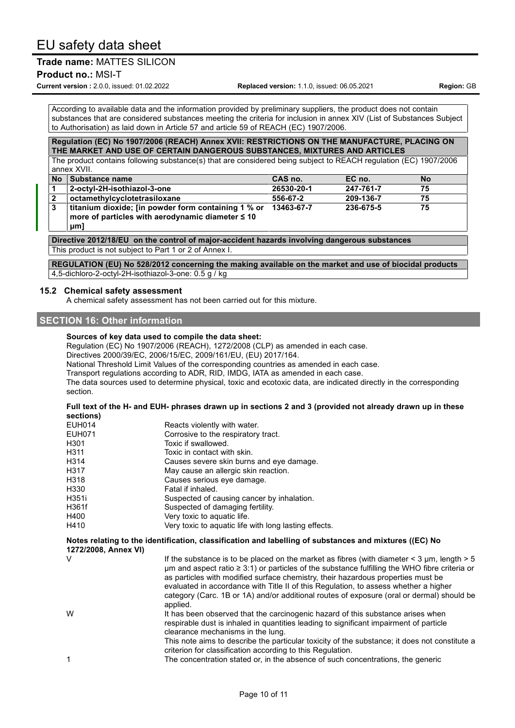# **Trade name:** MATTES SILICON

**Product no.: MSI-T** 

**Current version :** 2.0.0, issued: 01.02.2022 **Replaced version:** 1.1.0, issued: 06.05.2021 **Region:** GB

According to available data and the information provided by preliminary suppliers, the product does not contain substances that are considered substances meeting the criteria for inclusion in annex XIV (List of Substances Subject to Authorisation) as laid down in Article 57 and article 59 of REACH (EC) 1907/2006.

#### **Regulation (EC) No 1907/2006 (REACH) Annex XVII: RESTRICTIONS ON THE MANUFACTURE, PLACING ON THE MARKET AND USE OF CERTAIN DANGEROUS SUBSTANCES, MIXTURES AND ARTICLES**

The product contains following substance(s) that are considered being subject to REACH regulation (EC) 1907/2006 annex XVII.

| <b>No</b>      | ⁄ I Substance name ∕                                  | CAS no.    | EC no.    | No |
|----------------|-------------------------------------------------------|------------|-----------|----|
|                | 2-octyl-2H-isothiazol-3-one                           | 26530-20-1 | 247-761-7 | 75 |
| $\overline{2}$ | octamethylcyclotetrasiloxane                          | 556-67-2   | 209-136-7 | 75 |
| 3              | titanium dioxide; [in powder form containing 1 % or   | 13463-67-7 | 236-675-5 | 75 |
|                | more of particles with aerodynamic diameter $\leq 10$ |            |           |    |

**μm]**

**Directive 2012/18/EU on the control of major-accident hazards involving dangerous substances** This product is not subject to Part 1 or 2 of Annex I.

**REGULATION (EU) No 528/2012 concerning the making available on the market and use of biocidal products** 4,5-dichloro-2-octyl-2H-isothiazol-3-one: 0.5 g / kg

#### **15.2 Chemical safety assessment**

A chemical safety assessment has not been carried out for this mixture.

# **SECTION 16: Other information**

#### **Sources of key data used to compile the data sheet:**

Regulation (EC) No 1907/2006 (REACH), 1272/2008 (CLP) as amended in each case.

Directives 2000/39/EC, 2006/15/EC, 2009/161/EU, (EU) 2017/164.

National Threshold Limit Values of the corresponding countries as amended in each case.

Transport regulations according to ADR, RID, IMDG, IATA as amended in each case.

The data sources used to determine physical, toxic and ecotoxic data, are indicated directly in the corresponding section.

#### Full text of the H- and EUH- phrases drawn up in sections 2 and 3 (provided not already drawn up in these **sections)**

| <b>EUH014</b>                                                                                                                  | Reacts violently with water.                                                                                                                                                                                                                                                                                                                                                                                                                                                                       |
|--------------------------------------------------------------------------------------------------------------------------------|----------------------------------------------------------------------------------------------------------------------------------------------------------------------------------------------------------------------------------------------------------------------------------------------------------------------------------------------------------------------------------------------------------------------------------------------------------------------------------------------------|
| <b>EUH071</b>                                                                                                                  | Corrosive to the respiratory tract.                                                                                                                                                                                                                                                                                                                                                                                                                                                                |
| H301                                                                                                                           | Toxic if swallowed.                                                                                                                                                                                                                                                                                                                                                                                                                                                                                |
| H311                                                                                                                           | Toxic in contact with skin.                                                                                                                                                                                                                                                                                                                                                                                                                                                                        |
| H314                                                                                                                           | Causes severe skin burns and eye damage.                                                                                                                                                                                                                                                                                                                                                                                                                                                           |
| H317                                                                                                                           | May cause an allergic skin reaction.                                                                                                                                                                                                                                                                                                                                                                                                                                                               |
| H318                                                                                                                           | Causes serious eye damage.                                                                                                                                                                                                                                                                                                                                                                                                                                                                         |
| H330                                                                                                                           | Fatal if inhaled.                                                                                                                                                                                                                                                                                                                                                                                                                                                                                  |
| H351i                                                                                                                          | Suspected of causing cancer by inhalation.                                                                                                                                                                                                                                                                                                                                                                                                                                                         |
| H361f                                                                                                                          | Suspected of damaging fertility.                                                                                                                                                                                                                                                                                                                                                                                                                                                                   |
| H400                                                                                                                           | Very toxic to aquatic life.                                                                                                                                                                                                                                                                                                                                                                                                                                                                        |
| H410                                                                                                                           | Very toxic to aquatic life with long lasting effects.                                                                                                                                                                                                                                                                                                                                                                                                                                              |
| Notes relating to the identification, classification and labelling of substances and mixtures ((EC) No<br>1272/2008, Annex VI) |                                                                                                                                                                                                                                                                                                                                                                                                                                                                                                    |
| V                                                                                                                              | If the substance is to be placed on the market as fibres (with diameter $\leq$ 3 µm, length $>$ 5<br>$\mu$ m and aspect ratio $\geq 3.1$ ) or particles of the substance fulfilling the WHO fibre criteria or<br>as particles with modified surface chemistry, their hazardous properties must be<br>evaluated in accordance with Title II of this Regulation, to assess whether a higher<br>category (Carc. 1B or 1A) and/or additional routes of exposure (oral or dermal) should be<br>applied. |
| W                                                                                                                              | It has been observed that the carcinogenic hazard of this substance arises when<br>respirable dust is inhaled in quantities leading to significant impairment of particle<br>clearance mechanisms in the lung.<br>This note aims to describe the particular toxicity of the substance; it does not constitute a                                                                                                                                                                                    |
|                                                                                                                                | criterion for classification according to this Regulation.                                                                                                                                                                                                                                                                                                                                                                                                                                         |